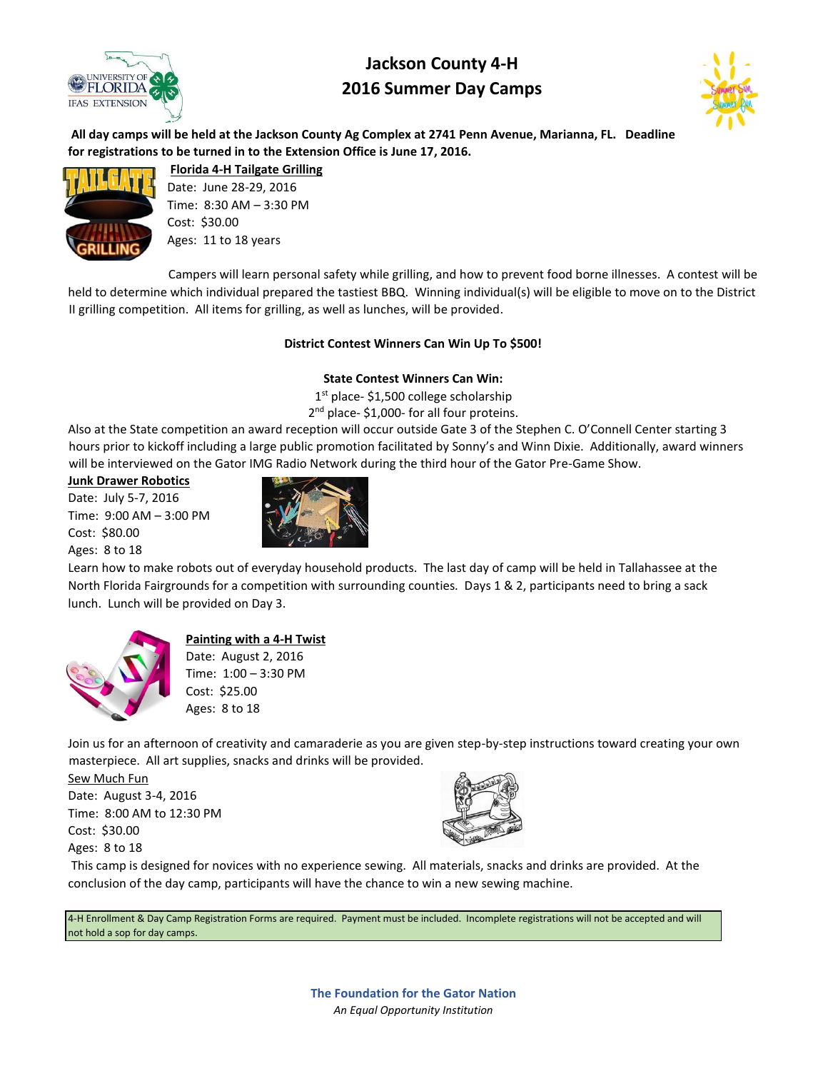

# **Jackson County 4-H 2016 Summer Day Camps**



**All day camps will be held at the Jackson County Ag Complex at 2741 Penn Avenue, Marianna, FL. Deadline for registrations to be turned in to the Extension Office is June 17, 2016.** 



**Florida 4-H Tailgate Grilling** Date: June 28-29, 2016 Time: 8:30 AM – 3:30 PM Cost: \$30.00 Ages: 11 to 18 years

Campers will learn personal safety while grilling, and how to prevent food borne illnesses. A contest will be held to determine which individual prepared the tastiest BBQ. Winning individual(s) will be eligible to move on to the District II grilling competition. All items for grilling, as well as lunches, will be provided.

# **District Contest Winners Can Win Up To \$500!**

# **State Contest Winners Can Win:**

1<sup>st</sup> place- \$1,500 college scholarship 2<sup>nd</sup> place- \$1,000- for all four proteins.

Also at the State competition an award reception will occur outside Gate 3 of the Stephen C. O'Connell Center starting 3 hours prior to kickoff including a large public promotion facilitated by Sonny's and Winn Dixie. Additionally, award winners will be interviewed on the Gator IMG Radio Network during the third hour of the Gator Pre-Game Show.

#### **Junk Drawer Robotics**

Date: July 5-7, 2016 Time: 9:00 AM – 3:00 PM Cost: \$80.00 Ages: 8 to 18



Learn how to make robots out of everyday household products. The last day of camp will be held in Tallahassee at the North Florida Fairgrounds for a competition with surrounding counties. Days 1 & 2, participants need to bring a sack lunch. Lunch will be provided on Day 3.



# **Painting with a 4-H Twist**

Date: August 2, 2016 Time: 1:00 – 3:30 PM Cost: \$25.00 Ages: 8 to 18

Join us for an afternoon of creativity and camaraderie as you are given step-by-step instructions toward creating your own masterpiece. All art supplies, snacks and drinks will be provided.

Sew Much Fun Date: August 3-4, 2016 Time: 8:00 AM to 12:30 PM Cost: \$30.00 Ages: 8 to 18



This camp is designed for novices with no experience sewing. All materials, snacks and drinks are provided. At the conclusion of the day camp, participants will have the chance to win a new sewing machine.

4-H Enrollment & Day Camp Registration Forms are required. Payment must be included. Incomplete registrations will not be accepted and will not hold a sop for day camps.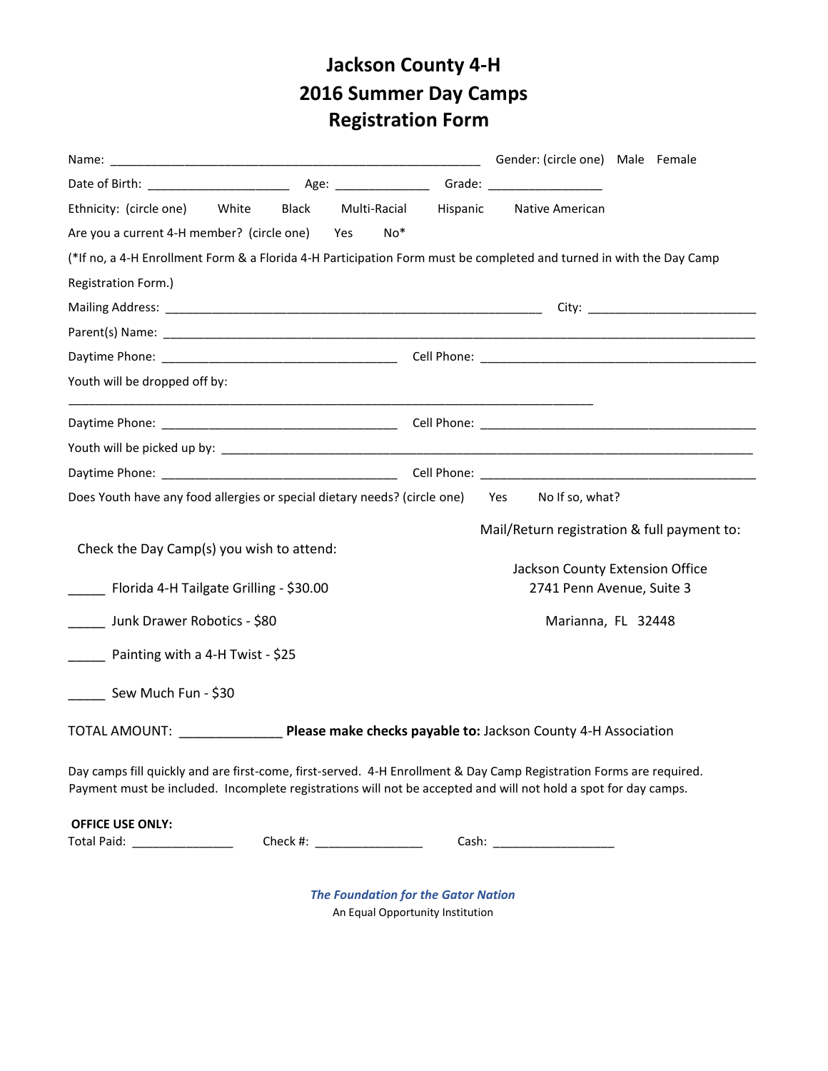# **Jackson County 4-H 2016 Summer Day Camps Registration Form**

|                                                                               |                                                                                                                       | Gender: (circle one) Male Female                                                                                                                                                                                                       |
|-------------------------------------------------------------------------------|-----------------------------------------------------------------------------------------------------------------------|----------------------------------------------------------------------------------------------------------------------------------------------------------------------------------------------------------------------------------------|
|                                                                               |                                                                                                                       |                                                                                                                                                                                                                                        |
| Ethnicity: (circle one) White Black Multi-Racial Hispanic Native American     |                                                                                                                       |                                                                                                                                                                                                                                        |
| Are you a current 4-H member? (circle one) Yes                                | $No*$                                                                                                                 |                                                                                                                                                                                                                                        |
|                                                                               |                                                                                                                       | (*If no, a 4-H Enrollment Form & a Florida 4-H Participation Form must be completed and turned in with the Day Camp                                                                                                                    |
| Registration Form.)                                                           |                                                                                                                       |                                                                                                                                                                                                                                        |
|                                                                               |                                                                                                                       | City: ___________________________________                                                                                                                                                                                              |
|                                                                               |                                                                                                                       |                                                                                                                                                                                                                                        |
|                                                                               |                                                                                                                       |                                                                                                                                                                                                                                        |
| Youth will be dropped off by:                                                 | <u> 1989 - Johann Harry Harry Harry Harry Harry Harry Harry Harry Harry Harry Harry Harry Harry Harry Harry Harry</u> |                                                                                                                                                                                                                                        |
|                                                                               |                                                                                                                       |                                                                                                                                                                                                                                        |
|                                                                               |                                                                                                                       |                                                                                                                                                                                                                                        |
|                                                                               |                                                                                                                       |                                                                                                                                                                                                                                        |
| Does Youth have any food allergies or special dietary needs? (circle one) Yes |                                                                                                                       | No If so, what?                                                                                                                                                                                                                        |
| Check the Day Camp(s) you wish to attend:                                     |                                                                                                                       | Mail/Return registration & full payment to:                                                                                                                                                                                            |
|                                                                               |                                                                                                                       | Jackson County Extension Office                                                                                                                                                                                                        |
| ____ Florida 4-H Tailgate Grilling - \$30.00                                  |                                                                                                                       | 2741 Penn Avenue, Suite 3                                                                                                                                                                                                              |
| Junk Drawer Robotics - \$80                                                   |                                                                                                                       | Marianna, FL 32448                                                                                                                                                                                                                     |
| Painting with a 4-H Twist - \$25                                              |                                                                                                                       |                                                                                                                                                                                                                                        |
| Sew Much Fun - \$30                                                           |                                                                                                                       |                                                                                                                                                                                                                                        |
|                                                                               |                                                                                                                       | TOTAL AMOUNT: Please make checks payable to: Jackson County 4-H Association                                                                                                                                                            |
|                                                                               |                                                                                                                       | Day camps fill quickly and are first-come, first-served. 4-H Enrollment & Day Camp Registration Forms are required.<br>Payment must be included. Incomplete registrations will not be accepted and will not hold a spot for day camps. |
|                                                                               |                                                                                                                       |                                                                                                                                                                                                                                        |
| <b>OFFICE USE ONLY:</b>                                                       |                                                                                                                       |                                                                                                                                                                                                                                        |

*The Foundation for the Gator Nation* An Equal Opportunity Institution